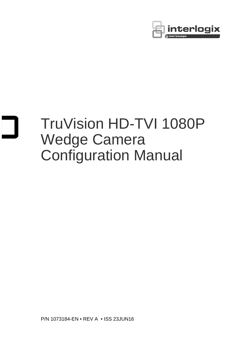

# TruVision HD-TVI 1080P Wedge Camera Configuration Manual

P/N 1073184-EN • REV A • ISS 23JUN16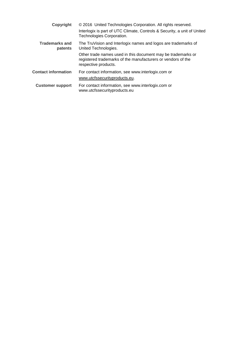| Copyright                        | © 2016 United Technologies Corporation. All rights reserved.<br>Interlogix is part of UTC Climate, Controls & Security, a unit of United<br>Technologies Corporation. |
|----------------------------------|-----------------------------------------------------------------------------------------------------------------------------------------------------------------------|
| <b>Trademarks and</b><br>patents | The TruVision and Interlogix names and logos are trademarks of<br>United Technologies.                                                                                |
|                                  | Other trade names used in this document may be trademarks or<br>registered trademarks of the manufacturers or vendors of the<br>respective products.                  |
| <b>Contact information</b>       | For contact information, see www.interlogix.com or<br>www.utcfssecurityproducts.eu.                                                                                   |
| <b>Customer support</b>          | For contact information, see www.interlogix.com or<br>www.utcfssecurityproducts.eu                                                                                    |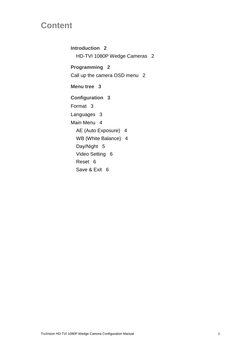# **Content**

**Introduction 2** HD-TVI 1080P Wedge Cameras 2 **Programming 2** Call up the camera OSD menu 2 **Menu tree 3 Configuration 3** Format 3 Languages 3 Main Menu 4 AE (Auto Exposure) 4 WB (White Balance) 4 Day/Night 5 Video Setting 6 Reset 6 Save & Exit 6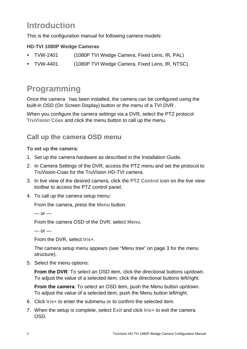# **Introduction**

This is the configuration manual for following camera models:

## **HD-TVI 1080P Wedge Cameras**

- TVW-2401 (1080P TVI Wedge Camera, Fixed Lens, IR, PAL)
- TVW-4401 (1080P TVI Wedge Camera, Fixed Lens, IR, NTSC)

# **Programming**

Once the camera has been installed, the camera can be configured using the built-in OSD (On Screen Display) button or the menu of a TVI DVR .

When you configure the camera settings via a DVR, select the PTZ protocol **TruVision Coax** and click the menu button to call up the menu.

# **Call up the camera OSD menu**

#### **To set up the camera:**

- 1. Set up the camera hardware as described in the Installation Guide.
- 2. In Camera Settings of the DVR, access the PTZ menu and set the protocol to TruVision-Coax for the TruVision HD-TVI camera.
- 3. In live view of the desired camera, click the **PTZ Control** icon on the live view toolbar to access the PTZ control panel.
- 4. To call up the camera setup menu:

From the camera, press the **Menu** button.

```
- or -
```
From the camera OSD of the DVR, select **Menu**.

 $-$  or  $-$ 

From the DVR, select **Iris+**.

The camera setup menu appears (see "Menu tree" on page 3 for the menu structure).

5. Select the menu options:

**From the DVR:** To select an OSD item, click the directional buttons up/down. To adjust the value of a selected item, click the directional buttons left/right.

**From the camera**: To select an OSD item, push the Menu button up/down. To adjust the value of a selected item, push the Menu button left/right.

- 6. Click **Iris+** to enter the submenu or to confirm the selected item.
- 7. When the setup is complete, select **Exit** and click **Iris+** to exit the camera OSD.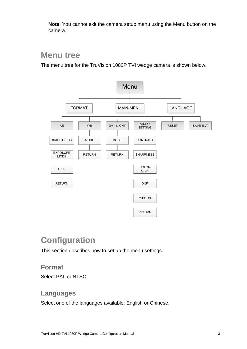**Note**: You cannot exit the camera setup menu using the Menu button on the camera.

# **Menu tree**

The menu tree for the TruVision 1080P TVI wedge camera is shown below.



# **Configuration**

This section describes how to set up the menu settings.

## **Format**

Select PAL or NTSC.

## **Languages**

Select one of the languages available: English or Chinese.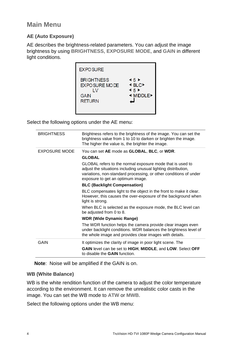## **AE (Auto Exposure)**

AE describes the brightness-related parameters. You can adjust the image brightness by using **BRIGHTNESS**, **EXPOSURE MODE**, and **GAIN** in different light conditions.



Select the following options under the AE menu:

| Brightness refers to the brightness of the image. You can set the<br>brightness value from 1 to 10 to darken or brighten the image.<br>The higher the value is, the brighter the image.                                               |
|---------------------------------------------------------------------------------------------------------------------------------------------------------------------------------------------------------------------------------------|
| You can set AE mode as GLOBAL, BLC, or WDR.                                                                                                                                                                                           |
| <b>GLOBAL</b>                                                                                                                                                                                                                         |
| GLOBAL refers to the normal exposure mode that is used to<br>adjust the situations including unusual lighting distribution,<br>variations, non-standard processing, or other conditions of under<br>exposure to get an optimum image. |
| <b>BLC (Backlight Compensation)</b>                                                                                                                                                                                                   |
| BLC compensates light to the object in the front to make it clear.<br>However, this causes the over-exposure of the background when<br>light is strong.                                                                               |
| When BLC is selected as the exposure mode, the BLC level can<br>be adjusted from 0 to 8.                                                                                                                                              |
| <b>WDR (Wide Dynamic Range)</b>                                                                                                                                                                                                       |
| The WDR function helps the camera provide clear images even<br>under backlight conditions. WDR balances the brightness level of<br>the whole image and provides clear images with details.                                            |
| It optimizes the clarity of image in poor light scene. The                                                                                                                                                                            |
| GAIN level can be set to HIGH, MIDDLE, and LOW. Select OFF<br>to disable the <b>GAIN</b> function.                                                                                                                                    |
|                                                                                                                                                                                                                                       |

**Note**: Noise will be amplified if the GAIN is on.

#### **WB (White Balance)**

WB is the white rendition function of the camera to adjust the color temperature according to the environment. It can remove the unrealistic color casts in the image. You can set the WB mode to **ATW** or **MWB**.

Select the following options under the WB menu: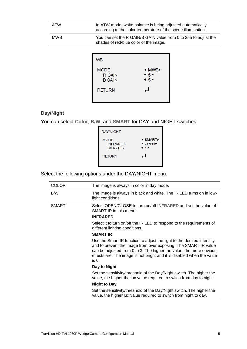| <b>ATW</b> | In ATW mode, white balance is being adjusted automatically<br>according to the color temperature of the scene illumination. |
|------------|-----------------------------------------------------------------------------------------------------------------------------|
| <b>MWB</b> | You can set the R GAIN/B GAIN value from 0 to 255 to adjust the<br>shades of red/blue color of the image.                   |
|            |                                                                                                                             |

| <b>WB</b>                                     |                                                                                                              |
|-----------------------------------------------|--------------------------------------------------------------------------------------------------------------|
| <b>MODE</b><br><b>R GAIN</b><br><b>B GAIN</b> | <b>4 MWB</b><br>$\blacktriangleleft$ 5 $\blacktriangleright$<br>$\blacktriangleleft$ 5 $\blacktriangleright$ |
| <b>RETURN</b>                                 | ப                                                                                                            |

## **Day/Night**

You can select **Color**, **B/W**, and **SMART** for DAY and NIGHT switches.

| <b>DAY/NIGHT</b>                                  |                                          |
|---------------------------------------------------|------------------------------------------|
| <b>MODE</b><br><b>INFRARED</b><br><b>SMART IR</b> | <b>I SMART</b><br><b>4 OPEN</b><br>4 1 H |
| <b>RETURN</b>                                     | ┙                                        |

Select the following options under the DAY/NIGHT menu:

| <b>COLOR</b> | The image is always in color in day mode.                                                                                                                                                                                                                                                             |
|--------------|-------------------------------------------------------------------------------------------------------------------------------------------------------------------------------------------------------------------------------------------------------------------------------------------------------|
| B/W          | The image is always in black and white. The IR LED turns on in low-<br>light conditions.                                                                                                                                                                                                              |
| <b>SMART</b> | Select OPEN/CLOSE to turn on/off INFRARED and set the value of<br>SMART IR in this menu.<br><b>INFRARED</b>                                                                                                                                                                                           |
|              | Select it to turn on/off the IR LED to respond to the requirements of<br>different lighting conditions.                                                                                                                                                                                               |
|              | <b>SMART IR</b>                                                                                                                                                                                                                                                                                       |
|              | Use the Smart IR function to adjust the light to the desired intensity<br>and to prevent the image from over exposing. The SMART IR value<br>can be adjusted from 0 to 3. The higher the value, the more obvious<br>effects are. The image is not bright and it is disabled when the value<br>$is0$ . |
|              | Day to Night                                                                                                                                                                                                                                                                                          |
|              | Set the sensitivity/threshold of the Day/Night switch. The higher the<br>value, the higher the lux value required to switch from day to night.                                                                                                                                                        |
|              | <b>Night to Day</b>                                                                                                                                                                                                                                                                                   |
|              | Set the sensitivity/threshold of the Day/Night switch. The higher the<br>value, the higher lux value required to switch from night to day.                                                                                                                                                            |